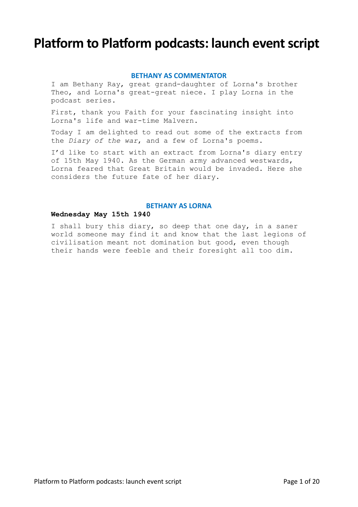# **Platform to Platform podcasts: launch event script**

# **BETHANY AS COMMENTATOR**

I am Bethany Ray, great grand-daughter of Lorna's brother Theo, and Lorna's great-great niece. I play Lorna in the podcast series.

First, thank you Faith for your fascinating insight into Lorna's life and war-time Malvern.

Today I am delighted to read out some of the extracts from the *Diary of the war*, and a few of Lorna's poems.

I'd like to start with an extract from Lorna's diary entry of 15th May 1940. As the German army advanced westwards, Lorna feared that Great Britain would be invaded. Here she considers the future fate of her diary.

# **BETHANY AS LORNA**

# **Wednesday May 15th 1940**

I shall bury this diary, so deep that one day, in a saner world someone may find it and know that the last legions of civilisation meant not domination but good, even though their hands were feeble and their foresight all too dim.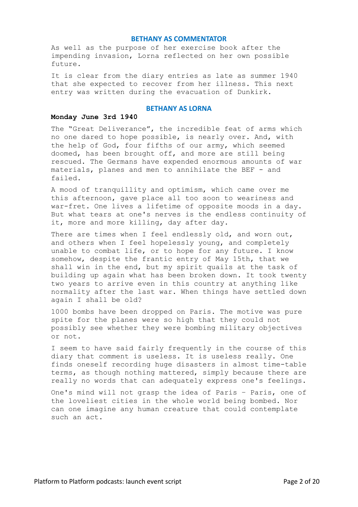As well as the purpose of her exercise book after the impending invasion, Lorna reflected on her own possible future.

It is clear from the diary entries as late as summer 1940 that she expected to recover from her illness. This next entry was written during the evacuation of Dunkirk.

# **BETHANY AS LORNA**

## **Monday June 3rd 1940**

The "Great Deliverance", the incredible feat of arms which no one dared to hope possible, is nearly over. And, with the help of God, four fifths of our army, which seemed doomed, has been brought off, and more are still being rescued. The Germans have expended enormous amounts of war materials, planes and men to annihilate the BEF - and failed.

A mood of tranquillity and optimism, which came over me this afternoon, gave place all too soon to weariness and war-fret. One lives a lifetime of opposite moods in a day. But what tears at one's nerves is the endless continuity of it, more and more killing, day after day.

There are times when I feel endlessly old, and worn out, and others when I feel hopelessly young, and completely unable to combat life, or to hope for any future. I know somehow, despite the frantic entry of May 15th, that we shall win in the end, but my spirit quails at the task of building up again what has been broken down. It took twenty two years to arrive even in this country at anything like normality after the last war. When things have settled down again I shall be old?

1000 bombs have been dropped on Paris. The motive was pure spite for the planes were so high that they could not possibly see whether they were bombing military objectives or not.

I seem to have said fairly frequently in the course of this diary that comment is useless. It is useless really. One finds oneself recording huge disasters in almost time-table terms, as though nothing mattered, simply because there are really no words that can adequately express one's feelings.

One's mind will not grasp the idea of Paris – Paris, one of the loveliest cities in the whole world being bombed. Nor can one imagine any human creature that could contemplate such an act.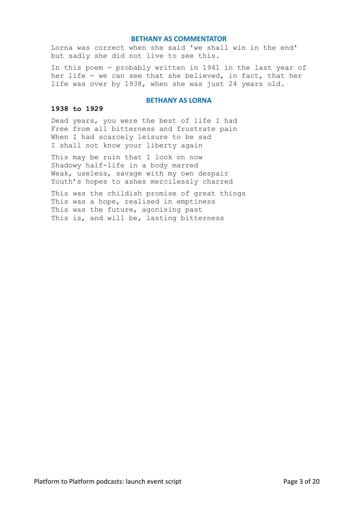Lorna was correct when she said 'we shall win in the end' but sadly she did not live to see this.

In this poem - probably written in 1941 in the last year of her life - we can see that she believed, in fact, that her life was over by 1938, when she was just 24 years old.

## **BETHANY AS LORNA**

## **1938 to 1929**

Dead years, you were the best of life I had Free from all bitterness and frustrate pain When I had scarcely leisure to be sad I shall not know your liberty again

This may be ruin that I look on now Shadowy half-life in a body marred Weak, useless, savage with my own despair Youth's hopes to ashes mercilessly charred

This was the childish promise of great things This was a hope, realised in emptiness This was the future, agonising past This is, and will be, lasting bitterness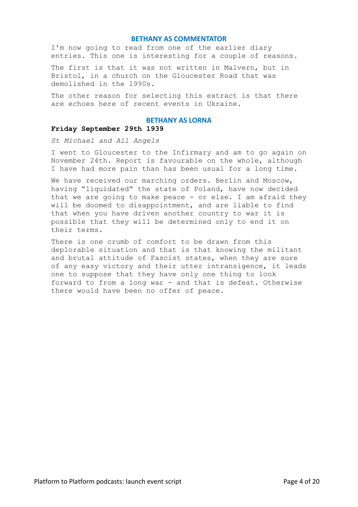I'm now going to read from one of the earlier diary entries. This one is interesting for a couple of reasons.

The first is that it was not written in Malvern, but in Bristol, in a church on the Gloucester Road that was demolished in the 1990s.

The other reason for selecting this extract is that there are echoes here of recent events in Ukraine.

# **BETHANY AS LORNA**

# **Friday September 29th 1939**

*St Michael and All Angels*

I went to Gloucester to the Infirmary and am to go again on November 24th. Report is favourable on the whole, although I have had more pain than has been usual for a long time.

We have received our marching orders. Berlin and Moscow, having "liquidated" the state of Poland, have now decided that we are going to make peace - or else. I am afraid they will be doomed to disappointment, and are liable to find that when you have driven another country to war it is possible that they will be determined only to end it on their terms.

There is one crumb of comfort to be drawn from this deplorable situation and that is that knowing the militant and brutal attitude of Fascist states, when they are sure of any easy victory and their utter intransigence, it leads one to suppose that they have only one thing to look forward to from a long war - and that is defeat. Otherwise there would have been no offer of peace.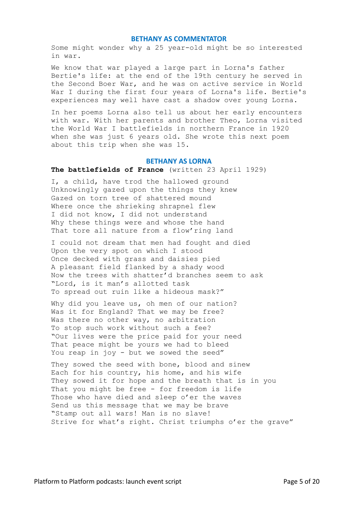Some might wonder why a 25 year-old might be so interested in war.

We know that war played a large part in Lorna's father Bertie's life: at the end of the 19th century he served in the Second Boer War, and he was on active service in World War I during the first four years of Lorna's life. Bertie's experiences may well have cast a shadow over young Lorna.

In her poems Lorna also tell us about her early encounters with war. With her parents and brother Theo, Lorna visited the World War I battlefields in northern France in 1920 when she was just 6 years old. She wrote this next poem about this trip when she was 15.

#### **BETHANY AS LORNA**

## **The battlefields of France** (written 23 April 1929)

I, a child, have trod the hallowed ground Unknowingly gazed upon the things they knew Gazed on torn tree of shattered mound Where once the shrieking shrapnel flew I did not know, I did not understand Why these things were and whose the hand That tore all nature from a flow'ring land

I could not dream that men had fought and died Upon the very spot on which I stood Once decked with grass and daisies pied A pleasant field flanked by a shady wood Now the trees with shatter'd branches seem to ask "Lord, is it man's allotted task To spread out ruin like a hideous mask?"

Why did you leave us, oh men of our nation? Was it for England? That we may be free? Was there no other way, no arbitration To stop such work without such a fee? "Our lives were the price paid for your need That peace might be yours we had to bleed You reap in joy - but we sowed the seed"

They sowed the seed with bone, blood and sinew Each for his country, his home, and his wife They sowed it for hope and the breath that is in you That you might be free - for freedom is life Those who have died and sleep o'er the waves Send us this message that we may be brave "Stamp out all wars! Man is no slave! Strive for what's right. Christ triumphs o'er the grave"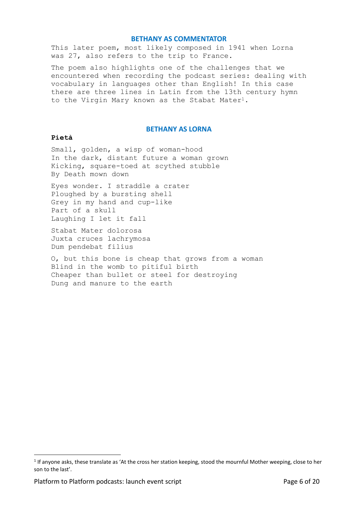This later poem, most likely composed in 1941 when Lorna was 27, also refers to the trip to France.

The poem also highlights one of the challenges that we encountered when recording the podcast series: dealing with vocabulary in languages other than English! In this case there are three lines in Latin from the 13th century hymn to the Virgin Mary known as the Stabat Mater<sup>1</sup>.

# **BETHANY AS LORNA**

# **Pietà**

Small, golden, a wisp of woman-hood In the dark, distant future a woman grown Kicking, square-toed at scythed stubble By Death mown down

Eyes wonder. I straddle a crater Ploughed by a bursting shell Grey in my hand and cup-like Part of a skull Laughing I let it fall

Stabat Mater dolorosa Juxta cruces lachrymosa Dum pendebat filius

O, but this bone is cheap that grows from a woman Blind in the womb to pitiful birth Cheaper than bullet or steel for destroying Dung and manure to the earth

 $1$  If anyone asks, these translate as 'At the cross her station keeping, stood the mournful Mother weeping, close to her son to the last'.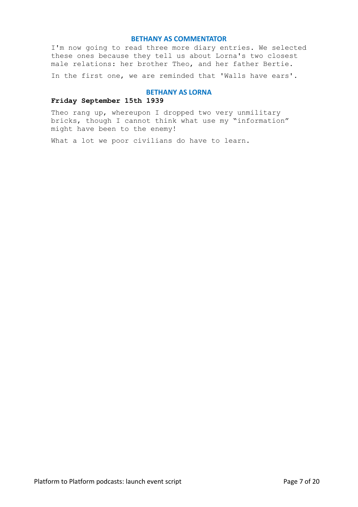I'm now going to read three more diary entries. We selected these ones because they tell us about Lorna's two closest male relations: her brother Theo, and her father Bertie.

In the first one, we are reminded that 'Walls have ears'.

#### **BETHANY AS LORNA**

# **Friday September 15th 1939**

Theo rang up, whereupon I dropped two very unmilitary bricks, though I cannot think what use my "information" might have been to the enemy!

What a lot we poor civilians do have to learn.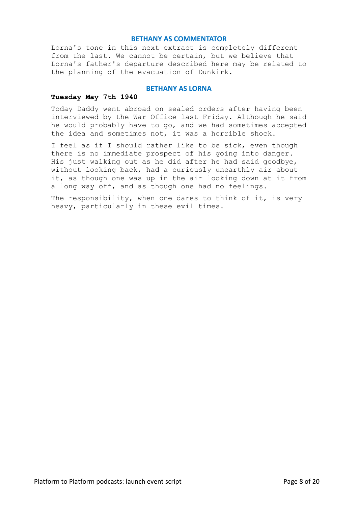Lorna's tone in this next extract is completely different from the last. We cannot be certain, but we believe that Lorna's father's departure described here may be related to the planning of the evacuation of Dunkirk.

# **BETHANY AS LORNA**

#### **Tuesday May 7th 1940**

Today Daddy went abroad on sealed orders after having been interviewed by the War Office last Friday. Although he said he would probably have to go, and we had sometimes accepted the idea and sometimes not, it was a horrible shock.

I feel as if I should rather like to be sick, even though there is no immediate prospect of his going into danger. His just walking out as he did after he had said goodbye, without looking back, had a curiously unearthly air about it, as though one was up in the air looking down at it from a long way off, and as though one had no feelings.

The responsibility, when one dares to think of it, is very heavy, particularly in these evil times.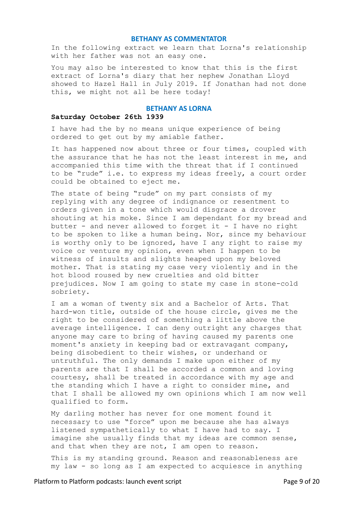In the following extract we learn that Lorna's relationship with her father was not an easy one.

You may also be interested to know that this is the first extract of Lorna's diary that her nephew Jonathan Lloyd showed to Hazel Hall in July 2019. If Jonathan had not done this, we might not all be here today!

# **BETHANY AS LORNA**

## **Saturday October 26th 1939**

I have had the by no means unique experience of being ordered to get out by my amiable father.

It has happened now about three or four times, coupled with the assurance that he has not the least interest in me, and accompanied this time with the threat that if I continued to be "rude" i.e. to express my ideas freely, a court order could be obtained to eject me.

The state of being "rude" on my part consists of my replying with any degree of indignance or resentment to orders given in a tone which would disgrace a drover shouting at his moke. Since I am dependant for my bread and butter - and never allowed to forget it - I have no right to be spoken to like a human being. Nor, since my behaviour is worthy only to be ignored, have I any right to raise my voice or venture my opinion, even when I happen to be witness of insults and slights heaped upon my beloved mother. That is stating my case very violently and in the hot blood roused by new cruelties and old bitter prejudices. Now I am going to state my case in stone-cold sobriety.

I am a woman of twenty six and a Bachelor of Arts. That hard-won title, outside of the house circle, gives me the right to be considered of something a little above the average intelligence. I can deny outright any charges that anyone may care to bring of having caused my parents one moment's anxiety in keeping bad or extravagant company, being disobedient to their wishes, or underhand or untruthful. The only demands I make upon either of my parents are that I shall be accorded a common and loving courtesy, shall be treated in accordance with my age and the standing which I have a right to consider mine, and that I shall be allowed my own opinions which I am now well qualified to form.

My darling mother has never for one moment found it necessary to use "force" upon me because she has always listened sympathetically to what I have had to say. I imagine she usually finds that my ideas are common sense, and that when they are not, I am open to reason.

This is my standing ground. Reason and reasonableness are my law - so long as I am expected to acquiesce in anything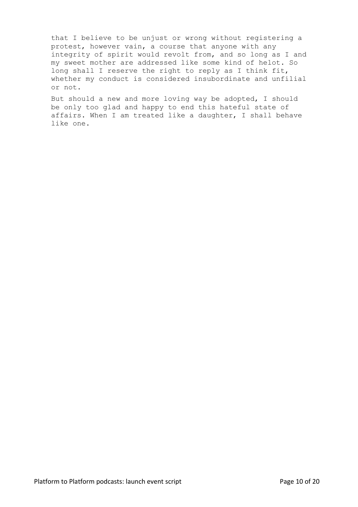that I believe to be unjust or wrong without registering a protest, however vain, a course that anyone with any integrity of spirit would revolt from, and so long as I and my sweet mother are addressed like some kind of helot. So long shall I reserve the right to reply as I think fit, whether my conduct is considered insubordinate and unfilial or not.

But should a new and more loving way be adopted, I should be only too glad and happy to end this hateful state of affairs. When I am treated like a daughter, I shall behave like one.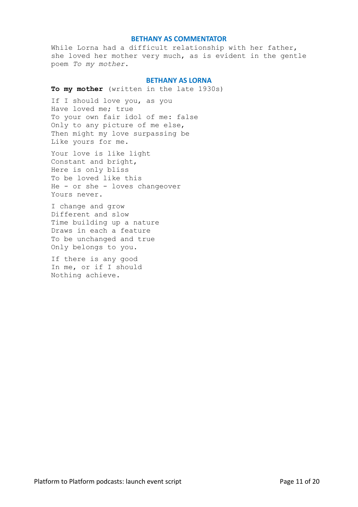While Lorna had a difficult relationship with her father, she loved her mother very much, as is evident in the gentle poem *To my mother*.

## **BETHANY AS LORNA**

**To my mother** (written in the late 1930s)

If I should love you, as you Have loved me; true To your own fair idol of me: false Only to any picture of me else, Then might my love surpassing be Like yours for me.

Your love is like light Constant and bright, Here is only bliss To be loved like this He - or she - loves changeover Yours never.

I change and grow Different and slow Time building up a nature Draws in each a feature To be unchanged and true Only belongs to you.

If there is any good In me, or if I should Nothing achieve.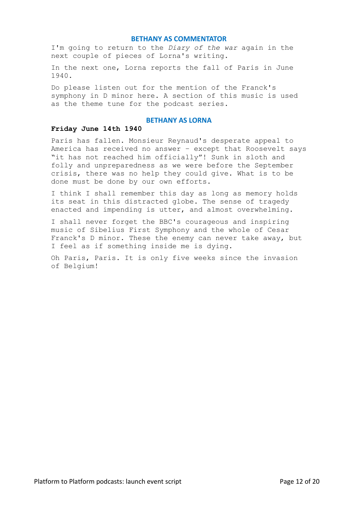I'm going to return to the *Diary of the war* again in the next couple of pieces of Lorna's writing.

In the next one, Lorna reports the fall of Paris in June 1940.

Do please listen out for the mention of the Franck's symphony in D minor here. A section of this music is used as the theme tune for the podcast series.

## **BETHANY AS LORNA**

# **Friday June 14th 1940**

Paris has fallen. Monsieur Reynaud's desperate appeal to America has received no answer – except that Roosevelt says "it has not reached him officially"! Sunk in sloth and folly and unpreparedness as we were before the September crisis, there was no help they could give. What is to be done must be done by our own efforts.

I think I shall remember this day as long as memory holds its seat in this distracted globe. The sense of tragedy enacted and impending is utter, and almost overwhelming.

I shall never forget the BBC's courageous and inspiring music of Sibelius First Symphony and the whole of Cesar Franck's D minor. These the enemy can never take away, but I feel as if something inside me is dying.

Oh Paris, Paris. It is only five weeks since the invasion of Belgium!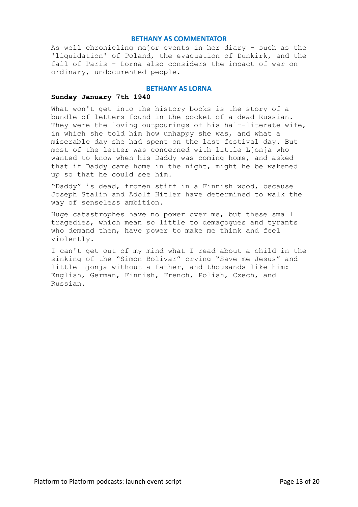As well chronicling major events in her diary - such as the 'liquidation' of Poland, the evacuation of Dunkirk, and the fall of Paris - Lorna also considers the impact of war on ordinary, undocumented people.

# **BETHANY AS LORNA**

# **Sunday January 7th 1940**

What won't get into the history books is the story of a bundle of letters found in the pocket of a dead Russian. They were the loving outpourings of his half-literate wife, in which she told him how unhappy she was, and what a miserable day she had spent on the last festival day. But most of the letter was concerned with little Ljonja who wanted to know when his Daddy was coming home, and asked that if Daddy came home in the night, might he be wakened up so that he could see him.

"Daddy" is dead, frozen stiff in a Finnish wood, because Joseph Stalin and Adolf Hitler have determined to walk the way of senseless ambition.

Huge catastrophes have no power over me, but these small tragedies, which mean so little to demagogues and tyrants who demand them, have power to make me think and feel violently.

I can't get out of my mind what I read about a child in the sinking of the "Simon Bolivar" crying "Save me Jesus" and little Ljonja without a father, and thousands like him: English, German, Finnish, French, Polish, Czech, and Russian.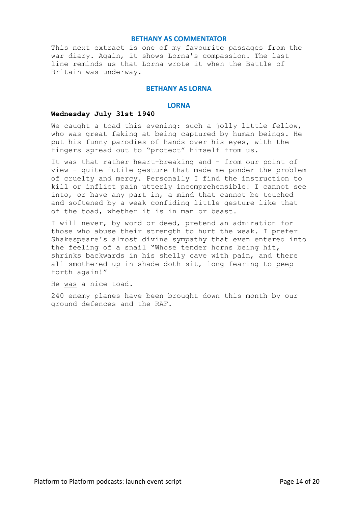This next extract is one of my favourite passages from the war diary. Again, it shows Lorna's compassion. The last line reminds us that Lorna wrote it when the Battle of Britain was underway.

# **BETHANY AS LORNA**

# **LORNA**

#### **Wednesday July 31st 1940**

We caught a toad this evening: such a jolly little fellow, who was great faking at being captured by human beings. He put his funny parodies of hands over his eyes, with the fingers spread out to "protect" himself from us.

It was that rather heart-breaking and - from our point of view - quite futile gesture that made me ponder the problem of cruelty and mercy. Personally I find the instruction to kill or inflict pain utterly incomprehensible! I cannot see into, or have any part in, a mind that cannot be touched and softened by a weak confiding little gesture like that of the toad, whether it is in man or beast.

I will never, by word or deed, pretend an admiration for those who abuse their strength to hurt the weak. I prefer Shakespeare's almost divine sympathy that even entered into the feeling of a snail "Whose tender horns being hit, shrinks backwards in his shelly cave with pain, and there all smothered up in shade doth sit, long fearing to peep forth again!"

He was a nice toad.

240 enemy planes have been brought down this month by our ground defences and the RAF.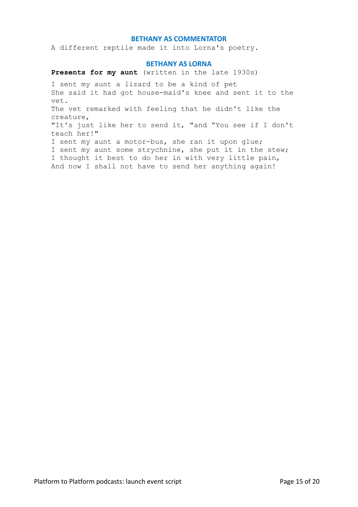A different reptile made it into Lorna's poetry.

## **BETHANY AS LORNA**

**Presents for my aunt** (written in the late 1930s)

I sent my aunt a lizard to be a kind of pet She said it had got house-maid's knee and sent it to the vet. The vet remarked with feeling that he didn't like the creature, "It's just like her to send it, "and "You see if I don't teach her!" I sent my aunt a motor-bus, she ran it upon glue; I sent my aunt some strychnine, she put it in the stew; I thought it best to do her in with very little pain, And now I shall not have to send her anything again!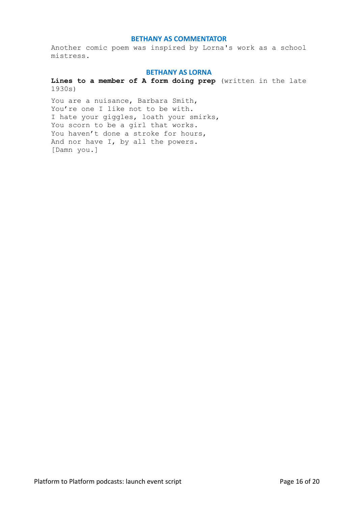Another comic poem was inspired by Lorna's work as a school mistress.

## **BETHANY AS LORNA**

**Lines to a member of A form doing prep** (written in the late 1930s)

You are a nuisance, Barbara Smith, You're one I like not to be with. I hate your giggles, loath your smirks, You scorn to be a girl that works. You haven't done a stroke for hours, And nor have I, by all the powers. [Damn you.]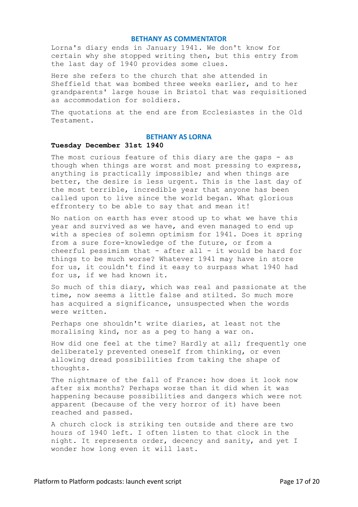Lorna's diary ends in January 1941. We don't know for certain why she stopped writing then, but this entry from the last day of 1940 provides some clues.

Here she refers to the church that she attended in Sheffield that was bombed three weeks earlier, and to her grandparents' large house in Bristol that was requisitioned as accommodation for soldiers.

The quotations at the end are from Ecclesiastes in the Old Testament.

## **BETHANY AS LORNA**

## **Tuesday December 31st 1940**

The most curious feature of this diary are the gaps - as though when things are worst and most pressing to express, anything is practically impossible; and when things are better, the desire is less urgent. This is the last day of the most terrible, incredible year that anyone has been called upon to live since the world began. What glorious effrontery to be able to say that and mean it!

No nation on earth has ever stood up to what we have this year and survived as we have, and even managed to end up with a species of solemn optimism for 1941. Does it spring from a sure fore-knowledge of the future, or from a cheerful pessimism that - after all - it would be hard for things to be much worse? Whatever 1941 may have in store for us, it couldn't find it easy to surpass what 1940 had for us, if we had known it.

So much of this diary, which was real and passionate at the time, now seems a little false and stilted. So much more has acquired a significance, unsuspected when the words were written.

Perhaps one shouldn't write diaries, at least not the moralising kind, nor as a peg to hang a war on.

How did one feel at the time? Hardly at all; frequently one deliberately prevented oneself from thinking, or even allowing dread possibilities from taking the shape of thoughts.

The nightmare of the fall of France: how does it look now after six months? Perhaps worse than it did when it was happening because possibilities and dangers which were not apparent (because of the very horror of it) have been reached and passed.

A church clock is striking ten outside and there are two hours of 1940 left. I often listen to that clock in the night. It represents order, decency and sanity, and yet I wonder how long even it will last.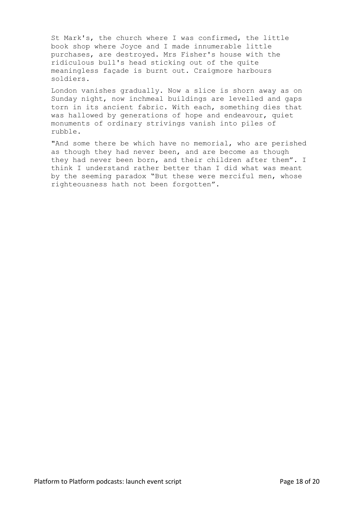St Mark's, the church where I was confirmed, the little book shop where Joyce and I made innumerable little purchases, are destroyed. Mrs Fisher's house with the ridiculous bull's head sticking out of the quite meaningless façade is burnt out. Craigmore harbours soldiers.

London vanishes gradually. Now a slice is shorn away as on Sunday night, now inchmeal buildings are levelled and gaps torn in its ancient fabric. With each, something dies that was hallowed by generations of hope and endeavour, quiet monuments of ordinary strivings vanish into piles of rubble.

"And some there be which have no memorial, who are perished as though they had never been, and are become as though they had never been born, and their children after them". I think I understand rather better than I did what was meant by the seeming paradox "But these were merciful men, whose righteousness hath not been forgotten".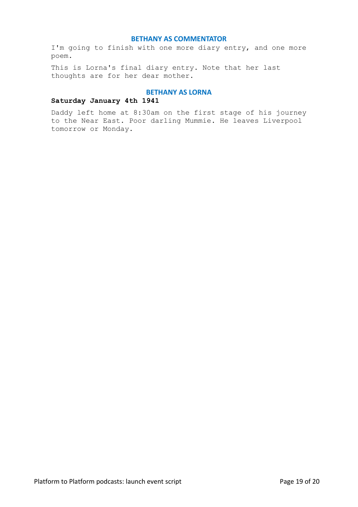I'm going to finish with one more diary entry, and one more poem.

This is Lorna's final diary entry. Note that her last thoughts are for her dear mother.

# **BETHANY AS LORNA**

# **Saturday January 4th 1941**

Daddy left home at 8:30am on the first stage of his journey to the Near East. Poor darling Mummie. He leaves Liverpool tomorrow or Monday.